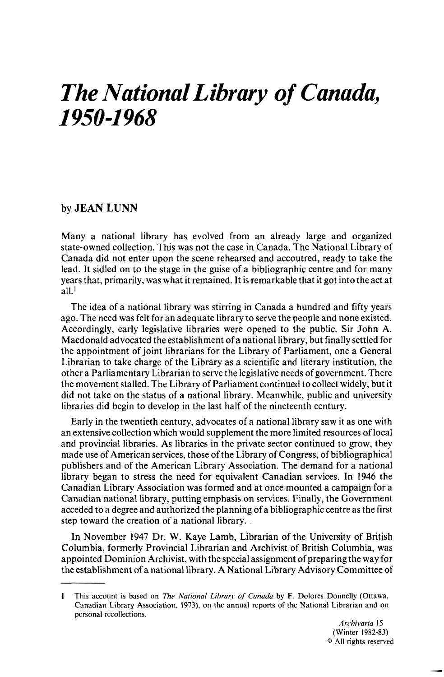# *The National Library of Canada, 1950-1 968*

## by **JEAN LUNN**

Many a national library has evolved from an already large and organized state-owned collection. This was not the case in Canada. The National Library of Canada did not enter upon the scene rehearsed and accoutred, ready to take the lead. It sidled on to the stage in the guise of a bibliographic centre and for many years that, primarily, was what it remained. It is remarkable that it got into theact at all.'

The idea of a national library was stirring in Canada a hundred and fifty years ago. The need was felt for an adequate library to serve the people and none existed. Accordingly, early legislative libraries were opened to the public. Sir John A. Macdonald advocated the establishment of a national library, but finally settled for the appointment of joint librarians for the Library of Parliament, one a General Librarian to take charge of the Library as a scientific and literary institution, the other a Parliamentary Librarian to serve the legislative needs of government. There the movement stalled. The Library of Parliament continued to collect widely, but it did not take on the status of a national library. Meanwhile, public and university libraries did begin to develop in the last half of the nineteenth century.

Early in the twentieth century, advocates of a national library saw it as one with an extensive collection which would supplement the more limited resources of local and provincial libraries. As libraries in the private sector continued to grow, they made use of American services, those of the Library of Congress, of bibliographical publishers and of the American Library Association. The demand for a national library began to stress the need for equivalent Canadian services. In 1946 the Canadian Library Association was formed and at once mounted a campaign for a Canadian national library, putting emphasis on services. Finally, the Government acceded to a degree and authorized the planning of a bibliographic centre as the first step toward the creation of a national library.

In November 1947 Dr. W. Kaye Lamb, Librarian of the University of British Columbia, formerly Provincial Librarian and Archivist of British Columbia, was appointed Dominion Archivist, with the special assignment of preparing the way for the establishment of a national library. A National Library Advisory Committee of

I This account is based on *The National Library of Canada* by *F.* Dolores Donnelly (Ottawa, Canadian Library Association. 1973). on the annual reports of the National Librarian and on personal recollections.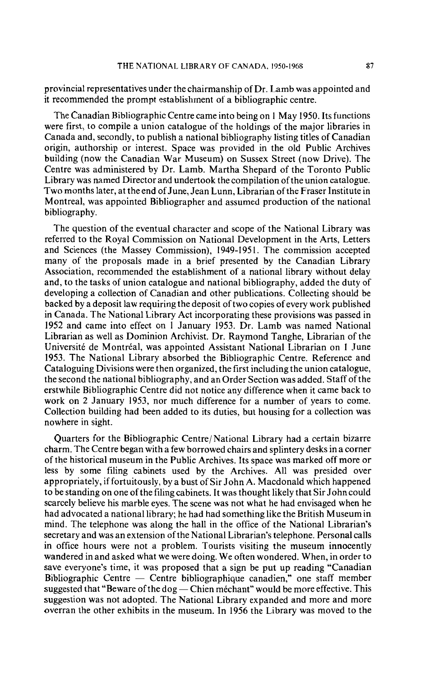provincial representatives under the chairmanship of Dr. Lamb was appointed and it recommended the prompt establishment of a bibliographic centre.

The Canadian Bibliographic Centre came into being on 1 May 1950. Its functions were first, to compile a union catalogue of the holdings of the major libraries in Canada and, secondly, to publish a national bibliography listing titles of Canadian origin, authorship or interest. Space was provided in the old Public Archives building (now the Canadian War Museum) on Sussex Street (now Drive). The Centre was administered by Dr. Lamb. Martha Shepard of the Toronto Public Library was named Director and undertook the compilation of the union catalogue. Two months later, at the end of June, Jean Lunn, Librarian of the Fraser Institute in Montreal, was appointed Bibliographer and assumed production of the national bibliography.

The question of the eventual character and scope of the National Library was referred to the Royal Commission on National Development in the Arts, Letters and Sciences (the Massey Commission), 1949-1951. The commission accepted many of the proposals made in a brief presented by the Canadian Library Association, recommended the establishment of a national library without delay and, to the tasks of union catalogue and national bibliography, added the duty of developing a collection of Canadian and other publications. Collecting should be backed by a deposit law requiring the deposit of two copies of every work published in Canada. The National Library Act incorporating these provisions was passed in 1952 and came into effect on 1 January 1953. Dr. Lamb was named National Librarian as well as Dominion Archivist. Dr. Raymond Tanghe, Librarian of the Université de Montréal, was appointed Assistant National Librarian on 1 June 1953. The National Library absorbed the Bibliographic Centre. Reference and Cataloguing Divisions were then organized, the first including the union catalogue, the second the national bibliography, and an Order Section was added. Staff of the erstwhile Bibliographic Centre did not notice any difference when it came back to work on 2 January 1953, nor much difference for a number of years to come. Collection building had been added to its duties, but housing for a collection was nowhere in sight.

Quarters for the Bibliographic Centre/National Library had a certain bizarre charm. The Centre began with a few borrowed chairs and splintery desks in a corner of the historical museum in the Public Archives. Its space was marked off more or less by some filing cabinets used by the Archives. All was presided over appropriately, if fortuitously, by a bust of Sir John A. Macdonald which happened to be standing on one of the filing cabinets. It was thought likely that Sir John could scarcely believe his marble eyes. The scene was not what he had envisaged when he had advocated a national library; he had had something like the British Museum in mind. The telephone was along the hall in the office of the National Librarian's secretary and was an extension of the National Librarian's telephone. Personal calls in office hours were not a problem. Tourists visiting the museum innocently wandered in and asked what we were doing. We often wondered. When, in order to save everyone's time, it was proposed that a sign be put up reading "Canadian wandered in and asked what we were doing. We often wondered. When, in order to save everyone's time, it was proposed that a sign be put up reading "Canadian Bibliographic Centre — Centre bibliographique canadien," one staf save everyone's time, it was proposed that a sign be put up reading "Canadian<br>Bibliographic Centre — Centre bibliographique canadien," one staff member<br>suggested that "Beware of the dog — Chien méchant" would be more effec suggestion was not adopted. The National Library expanded and more and more overran the other exhibits in the museum. In 1956 the Library was moved to the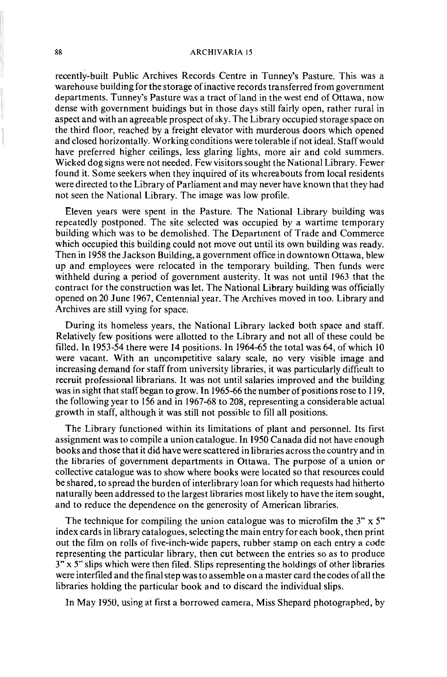#### 88 **ARCHIVARIA 15**

recently-built Public Archives Records Centre in Tunney's Pasture. This was a warehouse building for the storage of inactive records transferred from government departments. Tunney's Pasture was a tract of land in the west end of Ottawa, now dense with government buidings but in those days still fairly open, rather rural in aspect and with an agreeable prospect of sky. The Library occupied storage space on the third floor, reached by a freight elevator with murderous doors which opened and closed horizontally. Working conditions were tolerable if not ideal. Staff would have preferred higher ceilings, less glaring lights, more air and cold summers. Wicked dog signs were not needed. Few visitors sought the National Library. Fewer found it. Some seekers when they inquired of its whereabouts from local residents were directed to the Library of Parliament and may never have known that they had not seen the National Library. The image was low profile.

Eleven years were spent in the Pasture. The National Library building was repeatedly postponed. The site selected was occupied by a wartime temporary building which was to be demolished. The Department of Trade and Commerce which occupied this building could not move out until its own building was ready. Then in 1958 the Jackson Building, a government office in downtown Ottawa, blew up and employees were relocated in the temporary building. Then funds were withheld during a period of government austerity. It was not until 1963 that the contract for the construction was let. The National Library building was officially opened on 20 June 1967, Centennial year. The Archives moved in too. Library and Archives are still vying for space.

During its homeless years, the National Library lacked both space and staff. Relatively few positions were allotted to the Library and not all of these could be filled. In 1953-54 there were 14 positions. In 1964-65 the total was 64, of which 10 were vacant. With an uncompetitive salary scale, no very visible image and increasing demand for staff from university libraries, it was particularly difficult to recruit professional librarians. It was not until salaries improved and the building was in sight that staff began to grow. In 1965-66 the number of positions rose to 119, the following year to 156 and in 1967-68 to 208, representing a considerable actual growth in staff, although it was still not possible to fill all positions.

The Library functioned within its limitations of plant and personnel. Its first assignment was to compile a union catalogue. In 1950 Canada did not have enough books and those that it did have were scattered in libraries across the country and in the libraries of government departments in Ottawa. The purpose of a union or collective catalogue was to show where books were located so that resources could be shared, to spread the burden of interlibrary loan for which requests had hitherto naturally been addressed to the largest libraries most likely to have the item sought, and to reduce the dependence on the generosity of American libraries.

The technique for compiling the union catalogue was to microfilm the  $3" \times 5"$ index cards in library catalogues, selecting the main entry for each book, then print out the film on rolls of five-inch-wide papers, rubber stamp on each entry a code representing the particular library, then cut between the entries so as to produce 3" x 5" slips which were then filed. Slips representing the holdings of other libraries were interfiled and the final step was to assemble on a master card the codes of all the libraries holding the particular book and to discard the individual slips.

In May 1950, using at first a borrowed camera, Miss Shepard photographed, by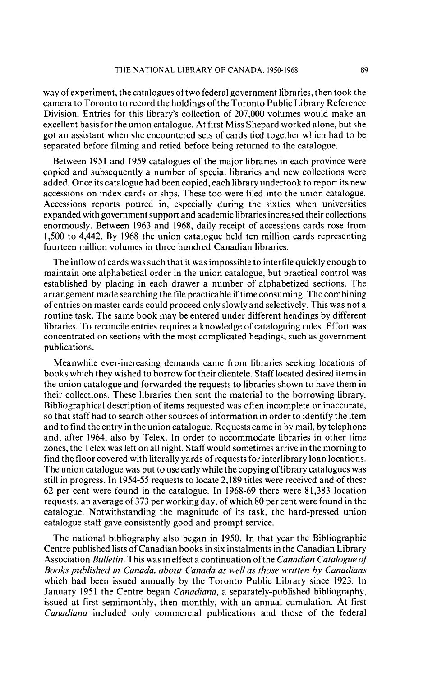way of experiment, the catalogues of two federal government libraries, then took the camera to Toronto to record the holdings of the Toronto Public Library Reference Division. Entries for this library's collection of 207,000 volumes would make an excellent basis for the union catalogue. At first Miss Shepard worked alone, but she got an assistant when she encountered sets of cards tied together which had to be separated before filming and retied before being returned to the catalogue.

Between 1951 and 1959 catalogues of the major libraries in each province were copied and subsequently a number of special libraries and new collections were added. Once its catalogue had been copied, each library undertook to report its new accessions on index cards or slips. These too were filed into the union catalogue. Accessions reports poured in, especially during the sixties when universities expanded with government support and academic libraries increased their collections enormously. Between 1963 and 1968, daily receipt of accessions cards rose from 1,500 to 4,442. By 1968 the union catalogue held ten million cards representing fourteen million volumes in three hundred Canadian libraries.

The inflow of cards was such that it was impossible to interfile quickly enough to maintain one alphabetical order in the union catalogue, but practical control was established by placing in each drawer a number of alphabetized sections. The arrangement made searching the file practicable if time consuming. The combining of entries on master cards could proceed only slowly and selectively. This was not a routine task. The same book may be entered under different headings by different libraries. To reconcile entries requires a knowledge of cataloguing rules. Effort was concentrated on sections with the most complicated headings, such as government publications.

Meanwhile ever-increasing demands came from libraries seeking locations of books which they wished to borrow for their clientele. Staff located desired items in the union catalogue and forwarded the requests to libraries shown to have them in their collections. These libraries then sent the material to the borrowing library. Bibliographical description of items requested was often incomplete or inaccurate, so that staff had to search other sources of information in order to identify the item and to find the entry in the union catalogue. Requests came in by mail, by telephone and, after 1964, also by Telex. In order to accommodate libraries in other time zones, the Telex was left on all night. Staff would sometimes arrive in the morning to find the floor covered with literally yards of requests for interlibrary loan locations. The union catalogue was put to use early while the copying of library catalogues was still in progress. In 1954-55 requests to locate 2,189 titles were received and of these 62 per cent were found in the catalogue. In 1968-69 there were 81,383 location requests, an average of 373 per working day, of which 80 per cent were found in the catalogue. Notwithstanding the magnitude of its task, the hard-pressed union catalogue staff gave consistently good and prompt service.

The national bibliography also began in 1950. In that year the Bibliographic Centre published lists of Canadian books in six instalments in the Canadian Library Association *Bulletin.* This was in effect a continuation of the *Canadian Catalogue* of Books published in Canada, about Canada as well as those written by Canadians which had been issued annually by the Toronto Public Library since 1923. In January 1951 the Centre began *Canadiana,* a separately-published bibliography, issued at first semimonthly, then monthly, with an annual cumulation. At first *Canadiana* included only commercial publications and those of the federal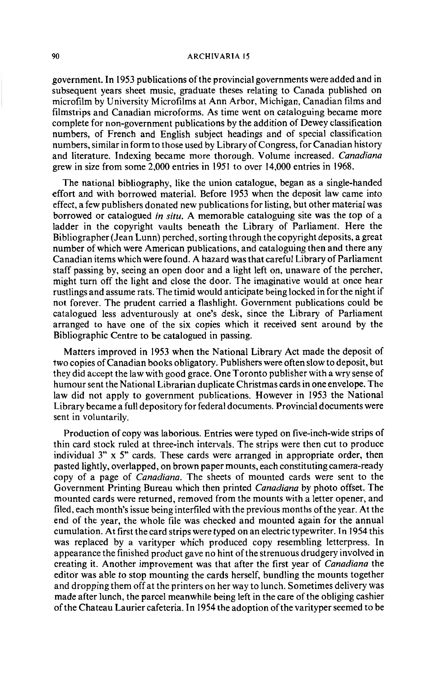## **90 ARCHIVARIA I5**

government. In 1953 publications of the provincial governments were added and in subsequent years sheet music, graduate theses relating to Canada published on microfilm by University Microfilms at Ann Arbor, Michigan, Canadian films and filmstrips and Canadian microforms. As time went on cataloguing became more complete for non-government publications by the addition of Dewey classification numbers, of French and English subject headings and of special classification numbers, similar in form to those used by Library of Congress, for Canadian history and literature. Indexing became more thorough. Volume increased. *Canadiana*  grew in size from some 2,000 entries in 1951 to over 14,000 entries in 1968.

The national bibliography, like the union catalogue, began as a single-handed effort and with borrowed material. Before 1953 when the deposit law came into effect, a few publishers donated new publications for listing, but other material was borrowed or catalogued *in siru.* A memorable cataloguing site was the top of a ladder in the copyright vaults beneath the Library of Parliament. Here the Bibliographer (Jean Lunn) perched, sorting through the copyright deposits, a great number of which were American publications, and cataloguing then and there any Canadian items which were found. A hazard was that careful Library of Parliament staff passing by, seeing an open door and a light left on, unaware of the percher, might turn off the light and close the door. The imaginative would at once hear rustlings and assume rats. The timid would anticipate being locked in for the night if not forever. The prudent carried a flashlight. Government publications could be catalogued less adventurously at one's desk, since the Library of Parliament arranged to have one of the six copies which it received sent around by the Bibliographic Centre to be catalogued in passing.

Matters improved in 1953 when the National Library Act made the deposit of two copies of Canadian books obligatory. Publishers were often slow to deposit, but they did accept the law with good grace. One Toronto publisher with a wry sense of humour sent the National Librarian duplicate Christmas cards in one envelope. The law did not apply to government publications. However in 1953 the National Library became a full depository for federal documents. Provincial documents were sent in voluntarily.

Production of copy was laborious. Entries were typed on five-inch-wide strips of thin card stock ruled at three-inch intervals. The strips were then cut to produce individual 3" x 5" cards. These cards were arranged in appropriate order, then pasted lightly, overlapped, on brown paper mounts, each constituting camera-ready copy of a page of *Canadiana.* The sheets of mounted cards were sent to the Government Printing Bureau which then printed *Canadiana* by photo offset. The mounted cards were returned, removed from the mounts with a letter opener, and filed, each month's issue being interfiled with the previous months ofthe year. At the end of the year, the whole file was checked and mounted again for the annual cumulation. At first the card strips were typed on an electric typewriter. In 1954 this was replaced by a varityper which produced copy resembling letterpress. In appearance the finished product gave no hint of the strenuous drudgery involved in creating it. Another improvement was that after the first year of *Canadiana* the editor was able to stop mounting the cards herself, bundling the mounts together and dropping them off at the printers on her way to lunch. Sometimes delivery was made after lunch, the parcel meanwhile being left in the care of the obliging cashier of the Chateau Laurier cafeteria. In 1954 the adoption of the varityper seemed to be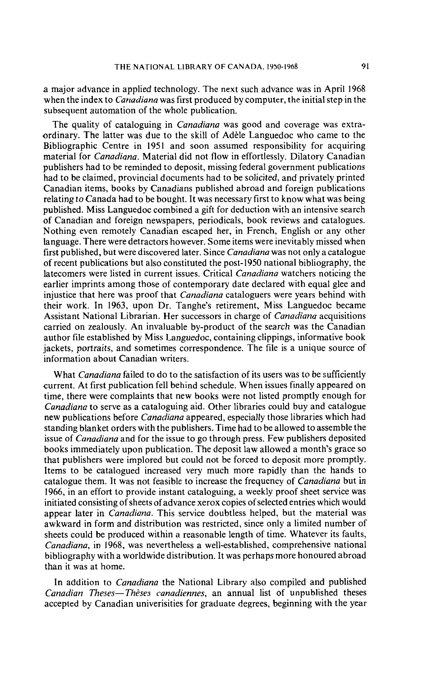a major advance in applied technology. The next such advance was in April 1968 when the index to *Canadiana* was first produced by computer, the initial step in the subsequent automation of the whole publication.

The quality of cataloguing in *Canadiana* was good and coverage was extraordinary. The latter was due to the skill of Adèle Languedoc who came to the Bibliographic Centre in 1951 and soon assumed responsibility for acquiring material for *Canadiana.* Material did not flow in effortlessly. Dilatory Canadian publishers had to be reminded to deposit, missing federal government publications had to be claimed, provincial documents had to be solicited, and privately printed Canadian items, books by Canadians published abroad and foreign publications relating to Canada had to be bought. It was necessary first to know what was being published. Miss Languedoc combined a gift for deduction with an intensive search of Canadian and foreign newspapers, periodicals, book reviews and catalogues. Nothing even remotely Canadian escaped her, in French, English or any other language. There were detractors however. Some items were inevitably missed when first published, but were discovered later. Since *Canadiana* was not only a catalogue of recent publications but also constituted the post-1950 national bibliography, the latecomers were listed in current issues. Critical *Canadiana* watchers noticing the earlier imprints among those of contemporary date declared with equal glee and injustice that here was proof that *Canadiana* cataloguers were years behind with their work. In 1963, upon Dr. Tanghe's retirement, Miss Languedoc became Assistant National Librarian. Her successors in charge of *Canadiana* acquisitions carried on zealously. An invaluable by-product of the search was the Canadian author file established by Miss Languedoc, containing clippings, informative book jackets, portraits, and sometimes correspondence. The file is a unique source of information about Canadian writers.

What *Canadiana* failed to do to the satisfaction of its users was to be sufficiently current. At first publication fell behind schedule. When issues finally appeared on time, there were complaints that new books were not listed promptly enough for *Canadiana* to serve as a cataloguing aid. Other libraries could buy and catalogue new publications before *Canadiana* appeared, especially those libraries which had standing blanket orders with the publishers. Time had to be allowed to assemble the issue of *Canadiana* and for the issue to go through press. Few publishers deposited books immediately upon publication. The deposit law allowed a month's grace so that publishers were implored but could not be forced to deposit more promptly. Items to be catalogued increased very much more rapidly than the hands to catalogue them. It was not feasible to increase the frequency of *Canadiana* but in 1966, in an effort to provide instant cataloguing, a weekly proof sheet service was initiated consisting of sheets of advance Xerox copies of selected entries which would appear later in *Canadiana.* This service doubtless helped, but the material was awkward in form and distribution was restricted, since only a limited number of sheets could be produced within a reasonable length of time. Whatever its faults, *Canadiana,* in 1968, was nevertheless a well-established, comprehensive national bibliography with a worldwide distribution. It was perhaps more honoured abroad than it was at home.

In addition to *Canadiana* the National Library also compiled and published *Canadian Theses—Thèses canadiennes*, an annual list of unpublished theses accepted by Canadian univerisities for graduate degrees, beginning with the year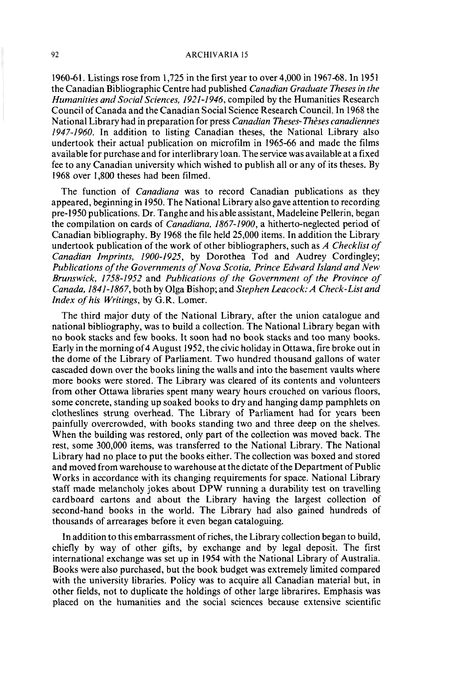### **ARCHIVARIA 15**

1960-61. Listings rose from 1,725 in the first year to over 4,000 in 1967-68. In 1951 the Canadian Bibliographic Centre had published *Canadian Graduate Theses in the Humanities and Social Sciences, 1921-1946,* compiled by the Humanities Research Council of Canada and the Canadian Social Science Research Council. In 1968 the National Library had in preparation for press *Canadian Theses- Thbes canadiennes 1947-1960.* In addition to listing Canadian theses, the National Library also undertook their actual publication on microfilm in 1965-66 and made the films available for purchase and for interlibrary loan. The service was available at a fixed fee to any Canadian university which wished to publish all or any of its theses. By 1968 over 1,800 theses had been filmed.

The function of *Canadiana* was to record Canadian publications as they appeared, beginning in 1950. The National Library also gave attention to recording pre-1950 publications. Dr. Tanghe and his able assistant, Madeleine Pellerin, began the compilation on cards of *Canadiana, 1867-1900,* a hitherto-neglected period of Canadian bibliography. By 1968 the file held 25,000 items. In addition the Library undertook publication of the work of other bibliographers, such as *A Checklist of Canadian Imprints, 1900-1925,* by Dorothea Tod and Audrey Cordingley; *Publications ofthe Governments of Nova Scotia, Prince Edward Island and New Brunswick, 1758-1952* and *Publications of the Government of the Province of Canada, 1841-1867,* both by Olga Bishop; and *Stephen Leacock: A Check-List and Index of his Writings,* by *G.R.* Lomer.

The third major duty of the National Library, after the union catalogue and national bibliography, was to build a collection. The National Library began with no book stacks and few books. It soon had no book stacks and too many books. Early in the morning of4 August 1952, the civic holiday in Ottawa, fire broke out in the dome of the Library of Parliament. Two hundred thousand gallons of water cascaded down over the books lining the walls and into the basement vaults where more books were stored. The Library was cleared of its contents and volunteers from other Ottawa libraries spent many weary hours crouched on various floors, some concrete, standing up soaked books to dry and hanging damp pamphlets on clotheslines strung overhead. The Library of Parliament had for years been painfully overcrowded, with books standing two and three deep on the shelves. When the building was restored, only part of the collection was moved back. The rest, some 300,000 items, was transferred to the National Library. The National Library had no place to put the books either. The collection was boxed and stored and moved from warehouse to warehouse at the dictate of the Department of Public Works in accordance with its changing requirements for space. National Library staff made melancholy jokes about DPW running a durability test on travelling cardboard cartons and about the Library having the largest collection of second-hand books in the world. The Library had also gained hundreds of thousands of arrearages before it even began cataloguing.

In addition to this embarrassment of riches, the Library collection began to build, chiefly by way of other gifts, by exchange and by legal deposit. The first international exchange was set up in 1954 with the National Library of Australia. Books were also purchased, but the book budget was extremely limited compared with the university libraries. Policy was to acquire all Canadian material but, in other fields, not to duplicate the holdings of other large librarires. Emphasis was placed on the humanities and the social sciences because extensive scientific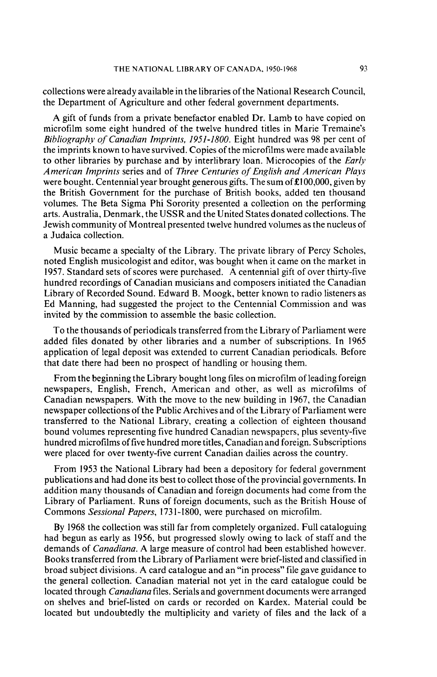collections were already available in the libraries of the National Research Council, the Department of Agriculture and other federal government departments.

A gift of funds from a private benefactor enabled Dr. Lamb to have copied on microfilm some eight hundred of the twelve hundred titles in Marie Tremaine's *Bibliography* of *Canadian Imprints,* **1951-1800.** Eight hundred was 98 per cent of the imprints known to have survived. Copies of the microfilms were made available to other libraries by purchase and by interlibrary loan. Microcopies of the *Early American Imprints series and of Three Centuries of English and American Plays* were bought. Centennial year brought generous gifts. The sum of  $\pounds 100,000$ , given by the British Government for the purchase of British books, added ten thousand volumes. The Beta Sigma Phi Sorority presented a collection on the performing arts. Australia, Denmark, the USSR and the United States donated collections. The Jewish community of Montreal presented twelve hundred volumes as the nucleus of a Judaica collection.

Music became a specialty of the Library. The private library of Percy Scholes, noted English musicologist and editor, was bought when it came on the market in 1957. Standard sets of scores were purchased. A centennial gift of over thirty-five hundred recordings of Canadian musicians and composers initiated the Canadian Library of Recorded Sound. Edward B. Moogk, better known to radio listeners as Ed Manning, had suggested the project to the Centennial Commission and was invited by the commission to assemble the basic collection.

To the thousands of periodicals transferred from the Library of Parliament were added files donated by other libraries and a number of subscriptions. In 1965 application of legal deposit was extended to current Canadian periodicals. Before that date there had been no prospect of handling or housing them.

From the beginning the Library bought long files on microfilm of leading foreign newspapers, English, French, American and other, as well as microfilms of Canadian newspapers. With the move to the new building in 1967, the Canadian newspaper collections of the Public Archives and of the Library of Parliament were transferred to the National Library, creating a collection of eighteen thousand bound volumes representing five hundred Canadian newspapers, plus seventy-five hundred microfilms of five hundred more titles, Canadian and foreign. Subscriptions were placed for over twenty-five current Canadian dailies across the country.

From 1953 the National Library had been a depository for federal government publications and had done its best to collect those of the provincial governments. In addition many thousands of Canadian and foreign documents had come from the Library of Parliament. Runs of foreign documents, such as the British House of Commons *Sessional Papers,* 173 1-1800, were purchased on microfilm.

By 1968 the collection was still far from completely organized. Full cataloguing had begun as early as 1956, but progressed slowly owing to lack of staff and the demands of *Canadiana.* A large measure of control had been established however. Books transferred from the Library of Parliament were brief-listed and classified in broad subject divisions. A card catalogue and an "in process" file gave guidance to the general collection. Canadian material not yet in the card catalogue could be located through *Canadiana* files. Serials and government documents were arranged on shelves and brief-listed on cards or recorded on Kardex. Material could be located but undoubtedly the multiplicity and variety of files and the lack of a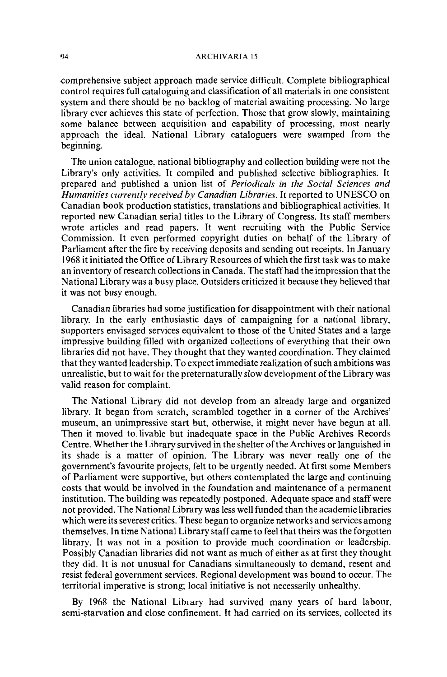#### **ARCHIVARIA 15**

comprehensive subject approach made service difficult. Complete bibliographical control requires full cataloguing and classification of all materials in one consistent system and there should be no backlog of material awaiting processing. No large library ever achieves this state of perfection. Those that grow slowly, maintaining some balance between acquisition and capability of processing, most nearly approach the ideal. National Library cataloguers were swamped from the beginning.

The union catalogue, national bibliography and collection building were not the Library's only activities. It compiled and published selective bibliographies. It prepared and published a union list of *Periodicals in the Social Sciences and Humanities currently received* **bv** *Canadian Libraries.* It reported to UNESCO on Canadian book production statistics, translations and bibliographical activities. It reported new Canadian serial titles to the Library of Congress. Its staff members wrote articles and read papers. It went recruiting with the Public Service Commission. It even performed copyright duties on behalf of the Library of Parliament after the fire by receiving deposits and sending out receipts. In January 1968 it initiated the Office of Library Resources of which the first task was to make an inventory of research collections in Canada. The staff had the impression that the National Library was a busy place. Outsiders criticized it because they believed that it was not busy enough.

Canadian libraries had some justification for disappointment with their national library. In the early enthusiastic days of campaigning for a national library, supporters envisaged services equivalent to those of the United States and a large impressive building filled with organized collections of everything that their own libraries did not have. They thought that they wanted coordination. They claimed that they wanted leadership. To expect immediate realization of such ambitions was unrealistic, but to wait for the preternaturally slow development of the Library was valid reason for complaint.

The National Library did not develop from an already large and organized library. It began from scratch, scrambled together in a corner of the Archives' museum, an unimpressive start but, otherwise, it might never have begun at all. Then it moved to. livable but inadequate space in the Public Archives Records Centre. Whether the Library survived in the shelter of the Archives or languished in its shade is a matter of opinion. The Library was never really one of the government's favourite projects, felt to be urgently needed. At first some Members of Parliament were supportive, but others contemplated the large and continuing costs that would be involved in the foundation and maintenance of a permanent institution. The building was repeatedly postponed. Adequate space and staff were not provided. The National Library was less well funded than the academic libraries which were its severest critics. These began to organize networks and services among themselves. In time National Library staff came to feel that theirs was the forgotten library. It was not in a position to provide much coordination or leadership. Possibly Canadian libraries did not want as much of either as at first they thought they did. It is not unusual for Canadians simultaneously to demand, resent and resist federal government services. Regional development was bound to occur. The territorial imperative is strong; local initiative is not necessarily unhealthy.

By 1968 the National Library had survived many years of hard labour, semi-starvation and close confinement. It had carried on its services, collected its